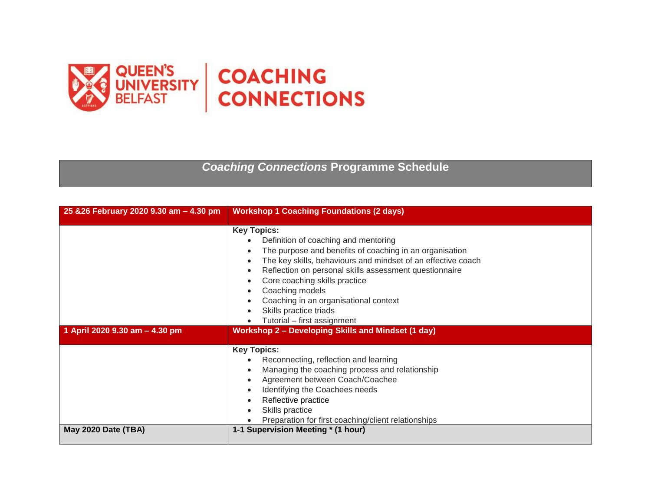

*Coaching Connections* **Programme Schedule**

| 25 & 26 February 2020 9.30 am - 4.30 pm | <b>Workshop 1 Coaching Foundations (2 days)</b>                                                                                                                                                                                                                                                                                                                                                       |
|-----------------------------------------|-------------------------------------------------------------------------------------------------------------------------------------------------------------------------------------------------------------------------------------------------------------------------------------------------------------------------------------------------------------------------------------------------------|
|                                         | <b>Key Topics:</b><br>Definition of coaching and mentoring<br>The purpose and benefits of coaching in an organisation<br>The key skills, behaviours and mindset of an effective coach<br>Reflection on personal skills assessment questionnaire<br>Core coaching skills practice<br>Coaching models<br>Coaching in an organisational context<br>Skills practice triads<br>Tutorial - first assignment |
| 1 April 2020 9.30 am - 4.30 pm          | <b>Workshop 2 - Developing Skills and Mindset (1 day)</b>                                                                                                                                                                                                                                                                                                                                             |
|                                         | <b>Key Topics:</b><br>Reconnecting, reflection and learning<br>Managing the coaching process and relationship<br>Agreement between Coach/Coachee<br>Identifying the Coachees needs<br>Reflective practice<br>Skills practice<br>Preparation for first coaching/client relationships                                                                                                                   |
| May 2020 Date (TBA)                     | 1-1 Supervision Meeting * (1 hour)                                                                                                                                                                                                                                                                                                                                                                    |